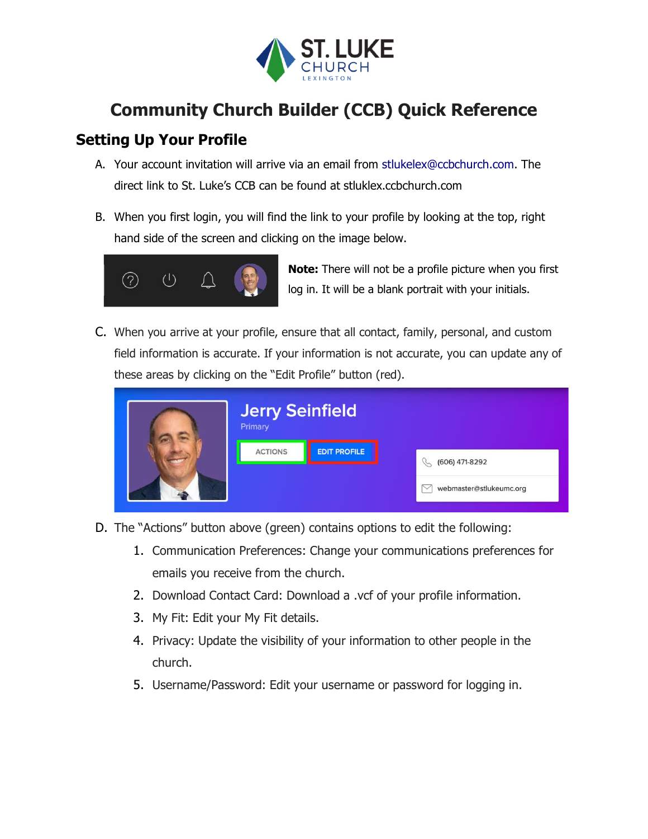

# **Community Church Builder (CCB) Quick Reference**

## **Setting Up Your Profile**

- A. Your account invitation will arrive via an email from stlukelex@ccbchurch.com. The direct link to St. Luke's CCB can be found at stluklex.ccbchurch.com
- B. When you first login, you will find the link to your profile by looking at the top, right hand side of the screen and clicking on the image below.



**Note:** There will not be a profile picture when you first log in. It will be a blank portrait with your initials.

C. When you arrive at your profile, ensure that all contact, family, personal, and custom field information is accurate. If your information is not accurate, you can update any of these areas by clicking on the "Edit Profile" button (red).

| <b>Jerry Seinfield</b><br>Primary |                     |                         |
|-----------------------------------|---------------------|-------------------------|
| <b>ACTIONS</b>                    | <b>EDIT PROFILE</b> | (606) 471-8292<br>S     |
|                                   |                     | webmaster@stlukeumc.org |

- D. The "Actions" button above (green) contains options to edit the following:
	- 1. Communication Preferences: Change your communications preferences for emails you receive from the church.
	- 2. Download Contact Card: Download a .vcf of your profile information.
	- 3. My Fit: Edit your My Fit details.
	- 4. Privacy: Update the visibility of your information to other people in the church.
	- 5. Username/Password: Edit your username or password for logging in.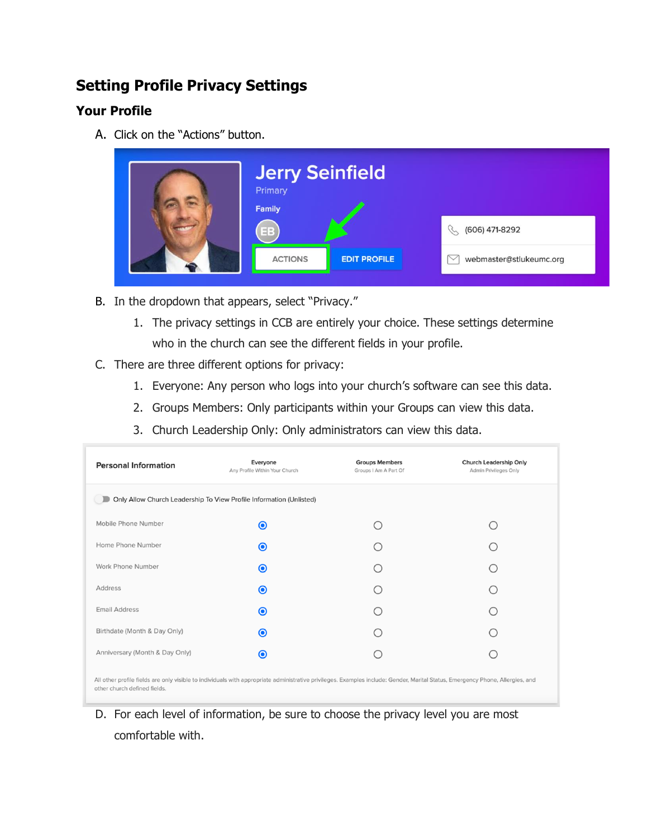## **Setting Profile Privacy Settings**

### **Your Profile**

A. Click on the "Actions" button.



- B. In the dropdown that appears, select "Privacy."
	- 1. The privacy settings in CCB are entirely your choice. These settings determine who in the church can see the different fields in your profile.
- C. There are three different options for privacy:
	- 1. Everyone: Any person who logs into your church's software can see this data.
	- 2. Groups Members: Only participants within your Groups can view this data.
	- 3. Church Leadership Only: Only administrators can view this data.

| <b>Personal Information</b>                                                                                                                                                                                    | Everyone<br>Any Profile Within Your Church | <b>Groups Members</b><br>Groups I Am A Part Of | <b>Church Leadership Only</b><br>Admin Privileges Only |  |  |  |  |
|----------------------------------------------------------------------------------------------------------------------------------------------------------------------------------------------------------------|--------------------------------------------|------------------------------------------------|--------------------------------------------------------|--|--|--|--|
| Only Allow Church Leadership To View Profile Information (Unlisted)                                                                                                                                            |                                            |                                                |                                                        |  |  |  |  |
| Mobile Phone Number                                                                                                                                                                                            | $\bullet$                                  |                                                |                                                        |  |  |  |  |
| Home Phone Number                                                                                                                                                                                              | $\odot$                                    |                                                |                                                        |  |  |  |  |
| Work Phone Number                                                                                                                                                                                              | $\odot$                                    |                                                |                                                        |  |  |  |  |
| <b>Address</b>                                                                                                                                                                                                 | $\odot$                                    |                                                |                                                        |  |  |  |  |
| <b>Email Address</b>                                                                                                                                                                                           | $\odot$                                    |                                                |                                                        |  |  |  |  |
| Birthdate (Month & Day Only)                                                                                                                                                                                   | ◉                                          |                                                |                                                        |  |  |  |  |
| Anniversary (Month & Day Only)                                                                                                                                                                                 | ◉                                          |                                                |                                                        |  |  |  |  |
| All other profile fields are only visible to individuals with appropriate administrative privileges. Examples include: Gender, Marital Status, Emergency Phone, Allergies, and<br>other church defined fields. |                                            |                                                |                                                        |  |  |  |  |

D. For each level of information, be sure to choose the privacy level you are most comfortable with.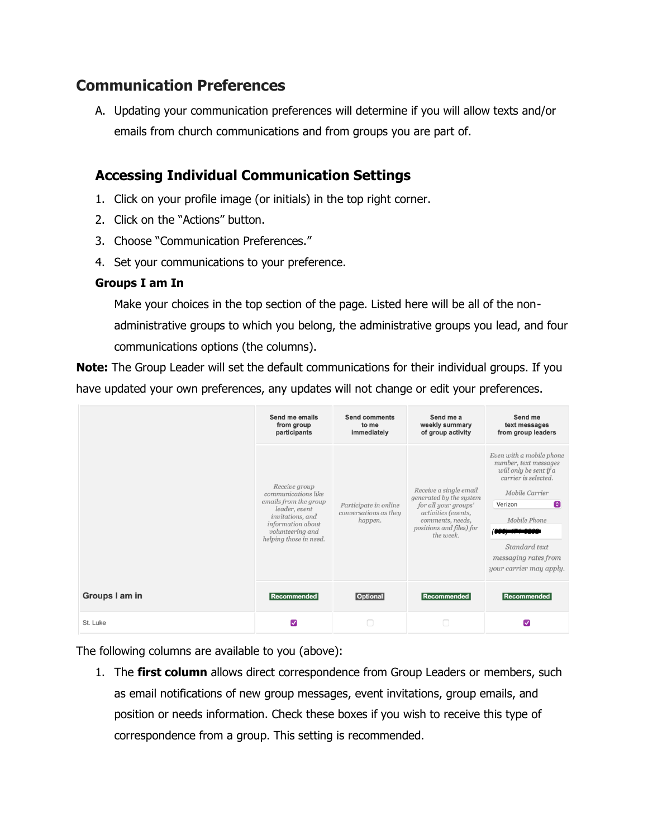### **Communication Preferences**

A. Updating your communication preferences will determine if you will allow texts and/or emails from church communications and from groups you are part of.

### **Accessing Individual Communication Settings**

- 1. Click on your profile image (or initials) in the top right corner.
- 2. Click on the "Actions" button.
- 3. Choose "Communication Preferences."
- 4. Set your communications to your preference.

#### **Groups I am In**

Make your choices in the top section of the page. Listed here will be all of the nonadministrative groups to which you belong, the administrative groups you lead, and four communications options (the columns).

**Note:** The Group Leader will set the default communications for their individual groups. If you have updated your own preferences, any updates will not change or edit your preferences.

|                | Send me emails<br>from group<br>participants                                                                                                                          | <b>Send comments</b><br>to me<br>immediately              | Send me a<br>weekly summary<br>of group activity                                                                                                              | Send me<br>text messages<br>from group leaders                                                                                                                                                                                    |
|----------------|-----------------------------------------------------------------------------------------------------------------------------------------------------------------------|-----------------------------------------------------------|---------------------------------------------------------------------------------------------------------------------------------------------------------------|-----------------------------------------------------------------------------------------------------------------------------------------------------------------------------------------------------------------------------------|
|                | Receive group<br>communications like<br>emails from the group<br>leader, event<br>invitations, and<br>information about<br>volunteering and<br>helping those in need. | Participate in online<br>conversations as they<br>happen. | Receive a single email<br>generated by the system<br>for all your groups'<br>activities (events,<br>comments, needs,<br>positions and files) for<br>the week. | Even with a mobile phone<br>number, text messages<br>will only be sent if a<br>carrier is selected.<br>Mobile Carrier<br>$\bullet$<br>Verizon<br>Mobile Phone<br>Standard text<br>messaging rates from<br>your carrier may apply. |
| Groups I am in | Recommended                                                                                                                                                           | <b>Optional</b>                                           | Recommended                                                                                                                                                   | <b>Recommended</b>                                                                                                                                                                                                                |
| St. Luke       | M                                                                                                                                                                     |                                                           |                                                                                                                                                               | ✓                                                                                                                                                                                                                                 |

The following columns are available to you (above):

1. The **first column** allows direct correspondence from Group Leaders or members, such as email notifications of new group messages, event invitations, group emails, and position or needs information. Check these boxes if you wish to receive this type of correspondence from a group. This setting is recommended.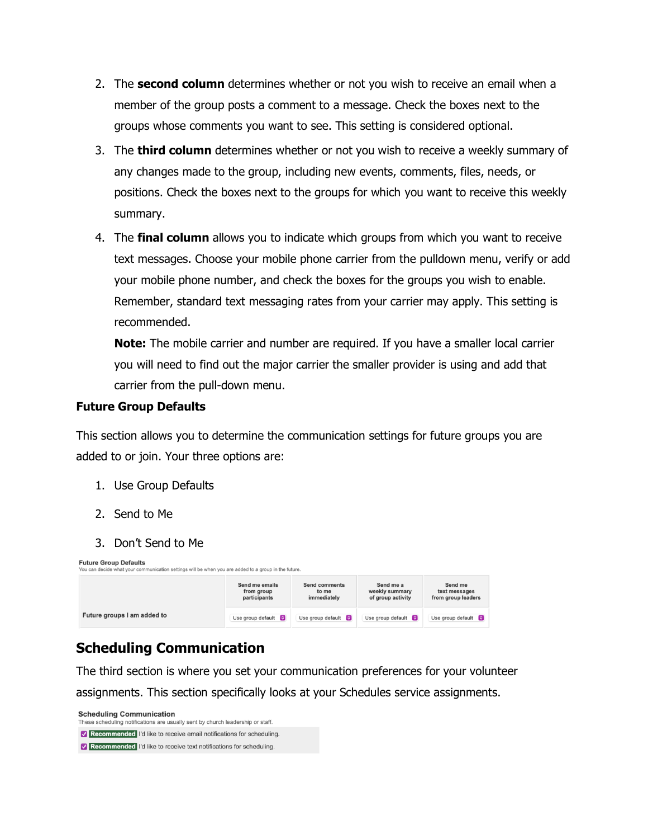- 2. The **second column** determines whether or not you wish to receive an email when a member of the group posts a comment to a message. Check the boxes next to the groups whose comments you want to see. This setting is considered optional.
- 3. The **third column** determines whether or not you wish to receive a weekly summary of any changes made to the group, including new events, comments, files, needs, or positions. Check the boxes next to the groups for which you want to receive this weekly summary.
- 4. The **final column** allows you to indicate which groups from which you want to receive text messages. Choose your mobile phone carrier from the pulldown menu, verify or add your mobile phone number, and check the boxes for the groups you wish to enable. Remember, standard text messaging rates from your carrier may apply. This setting is recommended.

**Note:** The mobile carrier and number are required. If you have a smaller local carrier you will need to find out the major carrier the smaller provider is using and add that carrier from the pull-down menu.

#### **Future Group Defaults**

This section allows you to determine the communication settings for future groups you are added to or join. Your three options are:

- 1. Use Group Defaults
- 2. Send to Me
- 3. Don't Send to Me

| <b>Future Group Defaults</b><br>You can decide what your communication settings will be when you are added to a group in the future. |                                              |                                              |                                                  |                                                |  |
|--------------------------------------------------------------------------------------------------------------------------------------|----------------------------------------------|----------------------------------------------|--------------------------------------------------|------------------------------------------------|--|
|                                                                                                                                      | Send me emails<br>from group<br>participants | <b>Send comments</b><br>to me<br>immediately | Send me a<br>weekly summary<br>of group activity | Send me<br>text messages<br>from group leaders |  |
| Future groups I am added to                                                                                                          | Use group default $\bigcirc$                 | Use group default $\Box$                     | Use group default $\Box$                         | Use group default $\bigcirc$                   |  |

### **Scheduling Communication**

The third section is where you set your communication preferences for your volunteer assignments. This section specifically looks at your Schedules service assignments.

**Scheduling Communication** These scheduling notifications are usually sent by church leadership or staff. Recommended I'd like to receive email notifications for scheduling. Recommended I'd like to receive text notifications for scheduling.